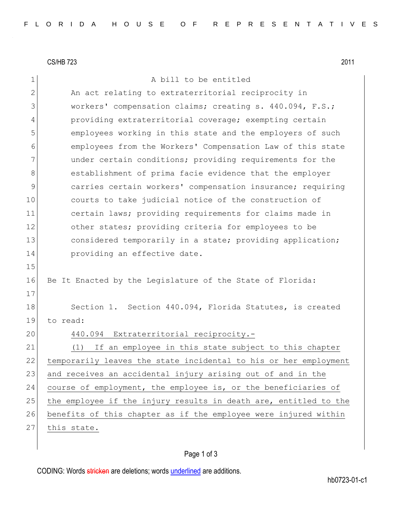CS/HB 723 2011

| $\mathbf 1$    | A bill to be entitled                                            |
|----------------|------------------------------------------------------------------|
| $\overline{2}$ | An act relating to extraterritorial reciprocity in               |
| 3              | workers' compensation claims; creating s. 440.094, F.S.;         |
| 4              | providing extraterritorial coverage; exempting certain           |
| 5              | employees working in this state and the employers of such        |
| 6              | employees from the Workers' Compensation Law of this state       |
| 7              | under certain conditions; providing requirements for the         |
| 8              | establishment of prima facie evidence that the employer          |
| 9              | carries certain workers' compensation insurance; requiring       |
| 10             | courts to take judicial notice of the construction of            |
| 11             | certain laws; providing requirements for claims made in          |
| 12             | other states; providing criteria for employees to be             |
| 13             | considered temporarily in a state; providing application;        |
| 14             | providing an effective date.                                     |
| 15             |                                                                  |
| 16             | Be It Enacted by the Legislature of the State of Florida:        |
| 17             |                                                                  |
| 18             | Section 1. Section 440.094, Florida Statutes, is created         |
| 19             | to read:                                                         |
| 20             | 440.094 Extraterritorial reciprocity.-                           |
| 21             | If an employee in this state subject to this chapter<br>(1)      |
| 22             | temporarily leaves the state incidental to his or her employment |
| 23             | and receives an accidental injury arising out of and in the      |
| 24             | course of employment, the employee is, or the beneficiaries of   |
| 25             | the employee if the injury results in death are, entitled to the |
| 26             | benefits of this chapter as if the employee were injured within  |
| 27             | this state.                                                      |

## Page 1 of 3

CODING: Words stricken are deletions; words underlined are additions.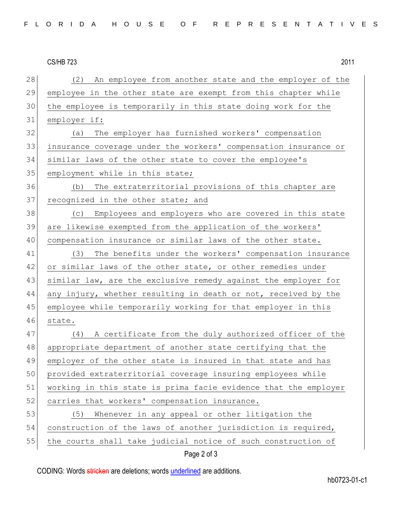## CS/HB 723 2011

28 (2) An employee from another state and the employer of the 29 employee in the other state are exempt from this chapter while 30 the employee is temporarily in this state doing work for the 31 employer if: 32 (a) The employer has furnished workers' compensation 33 insurance coverage under the workers' compensation insurance or 34 similar laws of the other state to cover the employee's 35 employment while in this state; 36 (b) The extraterritorial provisions of this chapter are 37 recognized in the other state; and 38 (c) Employees and employers who are covered in this state 39 are likewise exempted from the application of the workers' 40 compensation insurance or similar laws of the other state. 41 (3) The benefits under the workers' compensation insurance 42 or similar laws of the other state, or other remedies under 43 similar law, are the exclusive remedy against the employer for 44 any injury, whether resulting in death or not, received by the 45 employee while temporarily working for that employer in this 46 state. 47 (4) A certificate from the duly authorized officer of the 48 appropriate department of another state certifying that the 49 employer of the other state is insured in that state and has 50 provided extraterritorial coverage insuring employees while 51 working in this state is prima facie evidence that the employer 52 carries that workers' compensation insurance. 53 (5) Whenever in any appeal or other litigation the 54 construction of the laws of another jurisdiction is required, 55 the courts shall take judicial notice of such construction of

## Page 2 of 3

CODING: Words stricken are deletions; words underlined are additions.